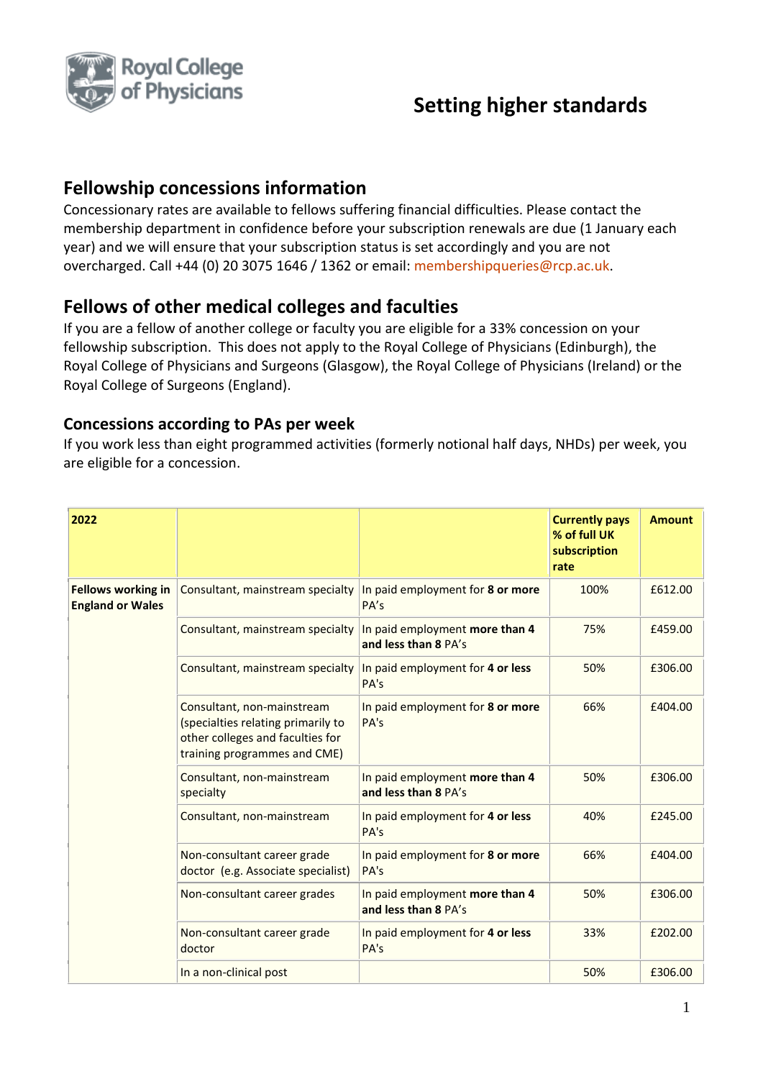

# **Setting higher standards**

### **Fellowship concessions information**

Concessionary rates are available to fellows suffering financial difficulties. Please contact the membership department in confidence before your subscription renewals are due (1 January each year) and we will ensure that your subscription status is set accordingly and you are not overcharged. Call +44 (0) 20 3075 1646 / 1362 or email: [membershipqueries@rcp.ac.uk.](mailto:membershipqueries@rcp.ac.uk)

#### **Fellows of other medical colleges and faculties**

If you are a fellow of another college or faculty you are eligible for a 33% concession on your fellowship subscription. This does not apply to the Royal College of Physicians (Edinburgh), the Royal College of Physicians and Surgeons (Glasgow), the Royal College of Physicians (Ireland) or the Royal College of Surgeons (England).

#### **Concessions according to PAs per week**

If you work less than eight programmed activities (formerly notional half days, NHDs) per week, you are eligible for a concession.

| 2022                                                 |                                                                                                                                      |                                                        | <b>Currently pays</b><br>% of full UK<br>subscription<br>rate | <b>Amount</b> |
|------------------------------------------------------|--------------------------------------------------------------------------------------------------------------------------------------|--------------------------------------------------------|---------------------------------------------------------------|---------------|
| <b>Fellows working in</b><br><b>England or Wales</b> | Consultant, mainstream specialty                                                                                                     | In paid employment for 8 or more<br>PA's               | 100%                                                          | £612.00       |
|                                                      | Consultant, mainstream specialty                                                                                                     | In paid employment more than 4<br>and less than 8 PA's | 75%                                                           | £459.00       |
|                                                      | Consultant, mainstream specialty                                                                                                     | In paid employment for 4 or less<br>PA's               | 50%                                                           | £306.00       |
|                                                      | Consultant, non-mainstream<br>(specialties relating primarily to<br>other colleges and faculties for<br>training programmes and CME) | In paid employment for 8 or more<br>PA's               | 66%                                                           | £404.00       |
|                                                      | Consultant, non-mainstream<br>specialty                                                                                              | In paid employment more than 4<br>and less than 8 PA's | 50%                                                           | £306.00       |
|                                                      | Consultant, non-mainstream                                                                                                           | In paid employment for 4 or less<br>PA's               | 40%                                                           | £245.00       |
|                                                      | Non-consultant career grade<br>doctor (e.g. Associate specialist)                                                                    | In paid employment for 8 or more<br>PA's               | 66%                                                           | £404.00       |
|                                                      | Non-consultant career grades                                                                                                         | In paid employment more than 4<br>and less than 8 PA's | 50%                                                           | £306.00       |
|                                                      | Non-consultant career grade<br>doctor                                                                                                | In paid employment for 4 or less<br>PA's               | 33%                                                           | £202.00       |
|                                                      | In a non-clinical post                                                                                                               |                                                        | 50%                                                           | £306.00       |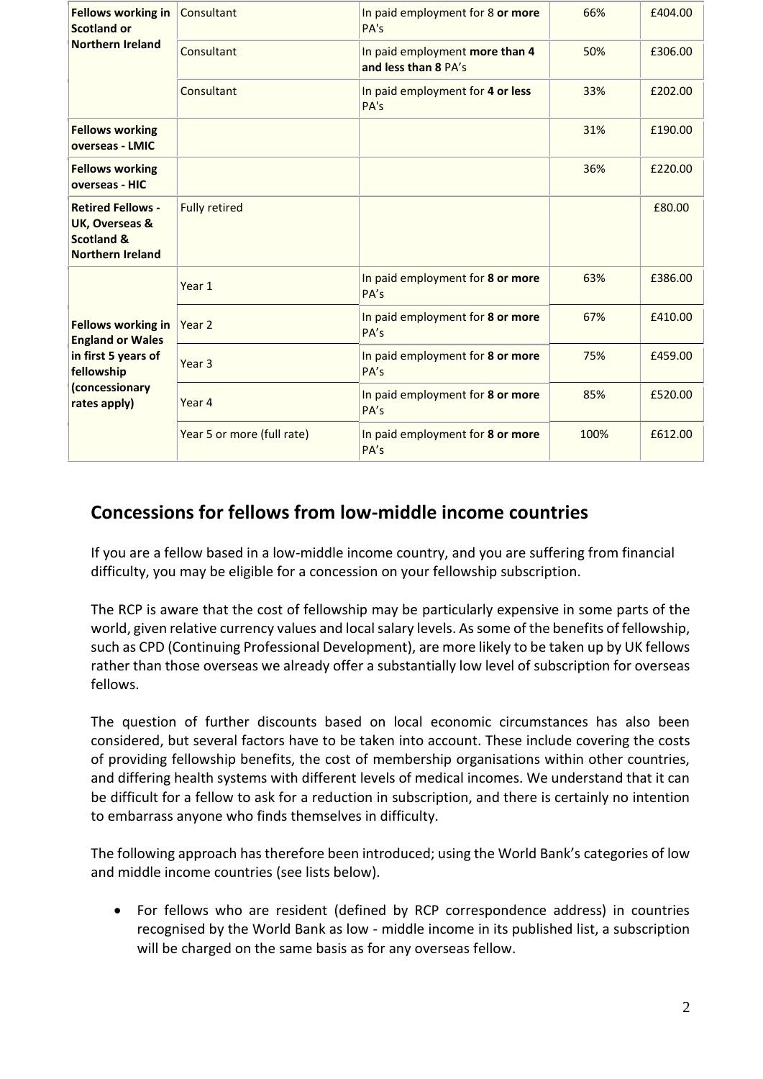| <b>Fellows working in</b><br><b>Scotland or</b>                                                | Consultant                 | In paid employment for 8 or more<br>PA's               | 66%  | £404.00 |
|------------------------------------------------------------------------------------------------|----------------------------|--------------------------------------------------------|------|---------|
| <b>Northern Ireland</b>                                                                        | Consultant                 | In paid employment more than 4<br>and less than 8 PA's | 50%  | £306.00 |
|                                                                                                | Consultant                 | In paid employment for 4 or less<br>PA's               | 33%  | £202.00 |
| <b>Fellows working</b><br>overseas - LMIC                                                      |                            |                                                        | 31%  | £190.00 |
| <b>Fellows working</b><br>overseas - HIC                                                       |                            |                                                        | 36%  | £220.00 |
| <b>Retired Fellows -</b><br>UK, Overseas &<br><b>Scotland &amp;</b><br><b>Northern Ireland</b> | <b>Fully retired</b>       |                                                        |      | £80.00  |
|                                                                                                | Year 1                     | In paid employment for 8 or more<br>PA's               | 63%  | £386.00 |
| <b>Fellows working in</b><br><b>England or Wales</b>                                           | Year 2                     | In paid employment for 8 or more<br>PA's               | 67%  | £410.00 |
| in first 5 years of<br>fellowship<br>(concessionary<br>rates apply)                            | Year <sub>3</sub>          | In paid employment for 8 or more<br>PA's               | 75%  | £459.00 |
|                                                                                                | Year 4                     | In paid employment for 8 or more<br>PA's               | 85%  | £520.00 |
|                                                                                                | Year 5 or more (full rate) | In paid employment for 8 or more<br>PA's               | 100% | £612.00 |

### **Concessions for fellows from low-middle income countries**

If you are a fellow based in a low-middle income country, and you are suffering from financial difficulty, you may be eligible for a concession on your fellowship subscription.

The RCP is aware that the cost of fellowship may be particularly expensive in some parts of the world, given relative currency values and local salary levels. As some of the benefits of fellowship, such as CPD (Continuing Professional Development), are more likely to be taken up by UK fellows rather than those overseas we already offer a substantially low level of subscription for overseas fellows.

The question of further discounts based on local economic circumstances has also been considered, but several factors have to be taken into account. These include covering the costs of providing fellowship benefits, the cost of membership organisations within other countries, and differing health systems with different levels of medical incomes. We understand that it can be difficult for a fellow to ask for a reduction in subscription, and there is certainly no intention to embarrass anyone who finds themselves in difficulty.

The following approach has therefore been introduced; using the World Bank's categories of low and middle income countries (see lists below).

• For fellows who are resident (defined by RCP correspondence address) in countries recognised by the World Bank as low - middle income in its published list, a subscription will be charged on the same basis as for any overseas fellow.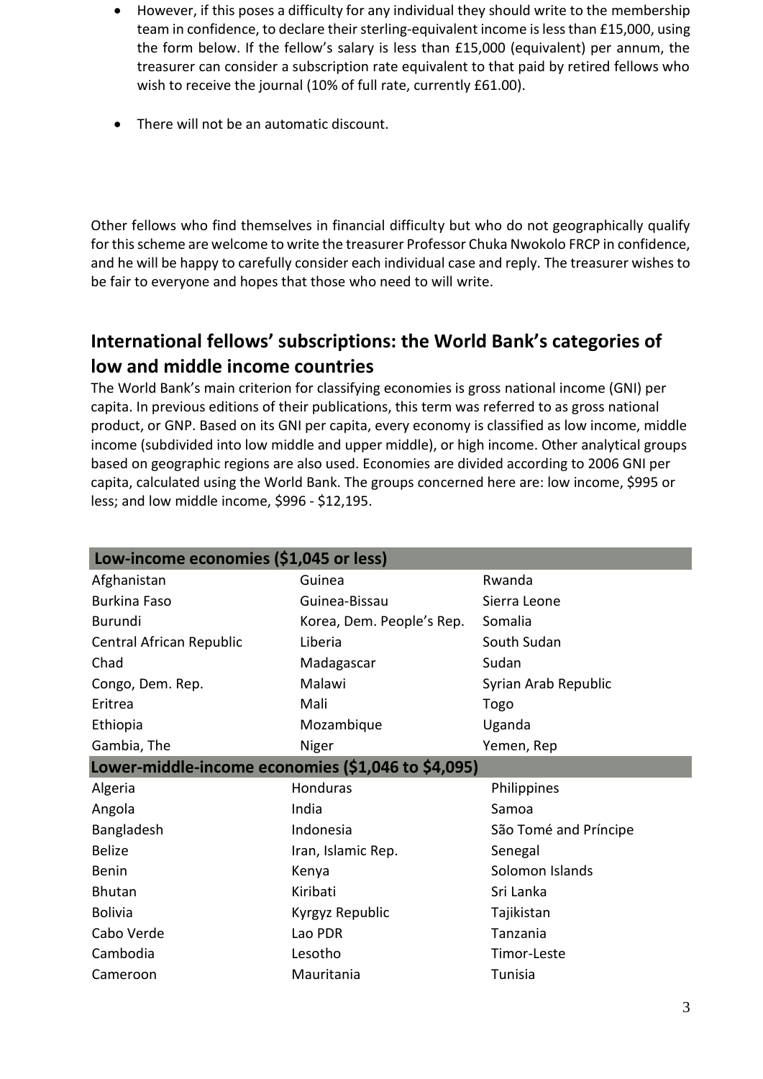- However, if this poses a difficulty for any individual they should write to the membership team in confidence, to declare their sterling-equivalent income is less than £15,000, using the form below. If the fellow's salary is less than £15,000 (equivalent) per annum, the treasurer can consider a subscription rate equivalent to that paid by retired fellows who wish to receive the journal (10% of full rate, currently £61.00).
- There will not be an automatic discount.

Other fellows who find themselves in financial difficulty but who do not geographically qualify for this scheme are welcome to write the treasurer Professor Chuka Nwokolo FRCP in confidence, and he will be happy to carefully consider each individual case and reply. The treasurer wishes to be fair to everyone and hopes that those who need to will write.

## **International fellows' subscriptions: the World Bank's categories of low and middle income countries**

The World Bank's main criterion for classifying economies is gross national income (GNI) per capita. In previous editions of their publications, this term was referred to as gross national product, or GNP. Based on its GNI per capita, every economy is classified as low income, middle income (subdivided into low middle and upper middle), or high income. Other analytical groups based on geographic regions are also used. Economies are divided according to 2006 GNI per capita, calculated using the World Bank. The groups concerned here are: low income, \$995 or less; and low middle income, \$996 - \$12,195.

| Low-income economies (\$1,045 or less)             |                           |                       |
|----------------------------------------------------|---------------------------|-----------------------|
| Afghanistan                                        | Guinea                    | Rwanda                |
| <b>Burkina Faso</b>                                | Guinea-Bissau             | Sierra Leone          |
| Burundi                                            | Korea, Dem. People's Rep. | Somalia               |
| Central African Republic                           | Liberia                   | South Sudan           |
| Chad                                               | Madagascar                | Sudan                 |
| Congo, Dem. Rep.                                   | Malawi                    | Syrian Arab Republic  |
| Eritrea                                            | Mali                      | Togo                  |
| Ethiopia                                           | Mozambique                | Uganda                |
| Gambia, The                                        | Niger                     | Yemen, Rep            |
| Lower-middle-income economies (\$1,046 to \$4,095) |                           |                       |
| Algeria                                            | Honduras                  | Philippines           |
| Angola                                             | India                     | Samoa                 |
| Bangladesh                                         | Indonesia                 | São Tomé and Príncipe |
| <b>Belize</b>                                      | Iran, Islamic Rep.        | Senegal               |
| <b>Benin</b>                                       | Kenya                     | Solomon Islands       |
| <b>Bhutan</b>                                      | Kiribati                  | Sri Lanka             |
| <b>Bolivia</b>                                     | Kyrgyz Republic           | Tajikistan            |
| Cabo Verde                                         | Lao PDR                   | Tanzania              |
| Cambodia                                           | Lesotho                   | Timor-Leste           |
| Cameroon                                           | Mauritania                | Tunisia               |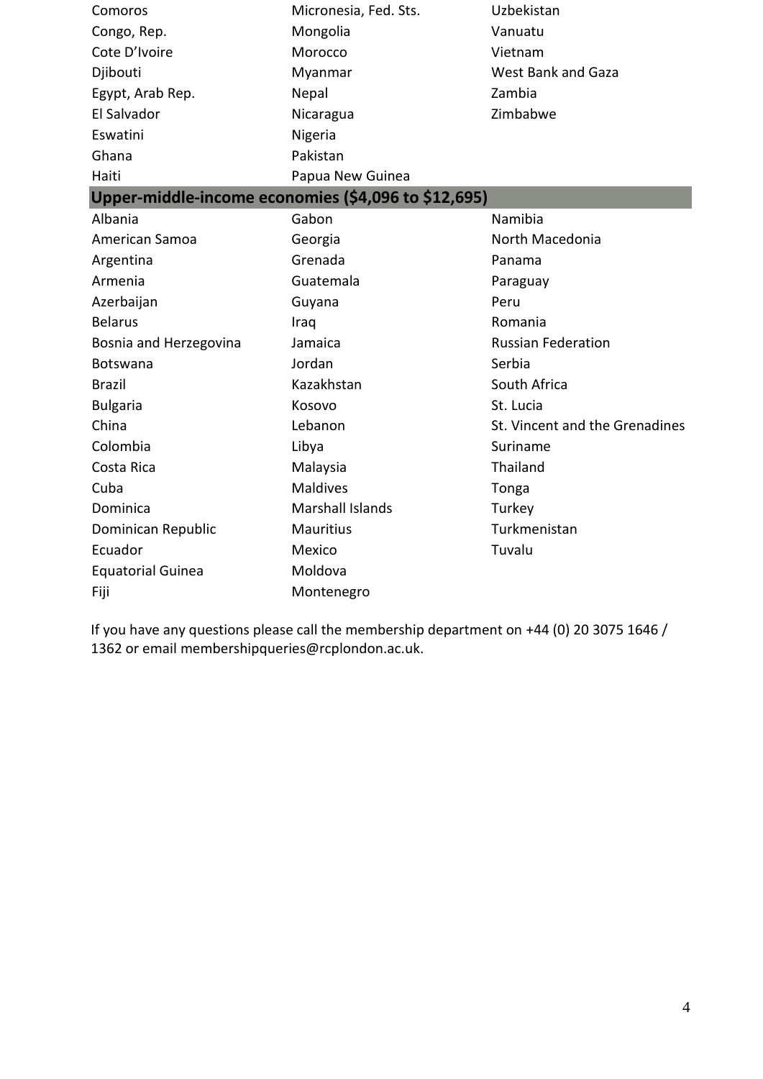| Comoros                  | Micronesia, Fed. Sts.                               | Uzbekistan                     |
|--------------------------|-----------------------------------------------------|--------------------------------|
| Congo, Rep.              | Mongolia                                            | Vanuatu                        |
| Cote D'Ivoire            | Morocco                                             | Vietnam                        |
| Djibouti                 | Myanmar                                             | <b>West Bank and Gaza</b>      |
| Egypt, Arab Rep.         | Nepal                                               | Zambia                         |
| El Salvador              | Nicaragua                                           | Zimbabwe                       |
| Eswatini                 | Nigeria                                             |                                |
| Ghana                    | Pakistan                                            |                                |
| Haiti                    | Papua New Guinea                                    |                                |
|                          | Upper-middle-income economies (\$4,096 to \$12,695) |                                |
| Albania                  | Gabon                                               | Namibia                        |
| American Samoa           | Georgia                                             | North Macedonia                |
| Argentina                | Grenada                                             | Panama                         |
| Armenia                  | Guatemala                                           | Paraguay                       |
| Azerbaijan               | Guyana                                              | Peru                           |
| <b>Belarus</b>           | Iraq                                                | Romania                        |
| Bosnia and Herzegovina   | Jamaica                                             | <b>Russian Federation</b>      |
| Botswana                 | Jordan                                              | Serbia                         |
| <b>Brazil</b>            | Kazakhstan                                          | South Africa                   |
| <b>Bulgaria</b>          | Kosovo                                              | St. Lucia                      |
| China                    | Lebanon                                             | St. Vincent and the Grenadines |
| Colombia                 | Libya                                               | Suriname                       |
| Costa Rica               | Malaysia                                            | Thailand                       |
| Cuba                     | <b>Maldives</b>                                     | Tonga                          |
| Dominica                 | Marshall Islands                                    | Turkey                         |
| Dominican Republic       | <b>Mauritius</b>                                    | Turkmenistan                   |
| Ecuador                  | Mexico                                              | Tuvalu                         |
| <b>Equatorial Guinea</b> | Moldova                                             |                                |
| Fiji                     | Montenegro                                          |                                |

If you have any questions please call the membership department on +44 (0) 20 3075 1646 / 1362 or emai[l membershipqueries@rcplondon.ac.uk.](mailto:membershipqueries@rcplondon.ac.uk)